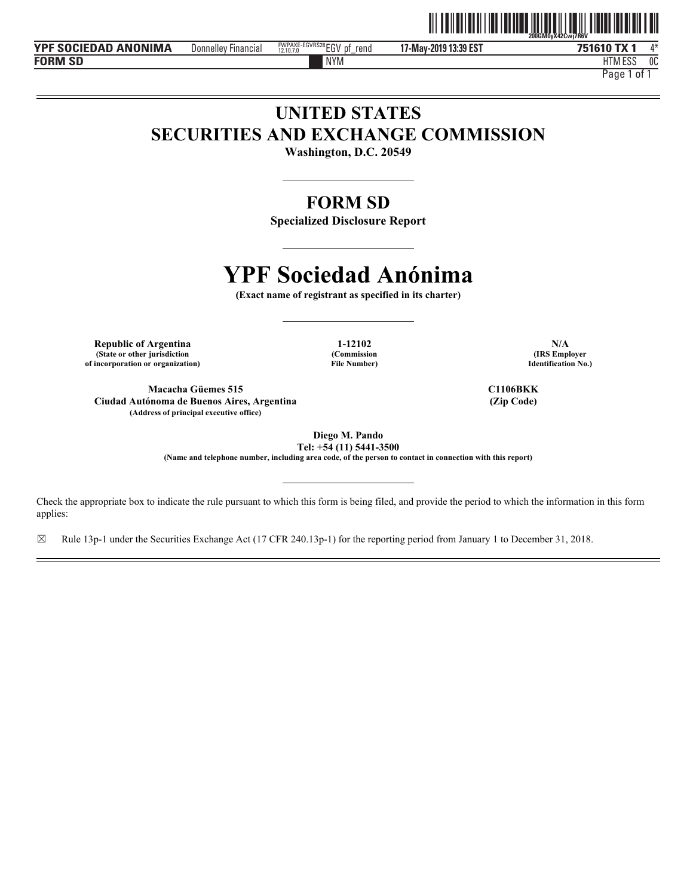

**YPF SOCIEDAD ANONIMA** Donnelley Financial **EXPEQUAGE EGVRS28 EGV pf** rend 17-May-2019 13:39 EST 751610 TX **FORM SD**

**17-May-2019 13:39 EST** Donnelley Financial EGV pf\_rend 4\* FWPAXE-EGVRS28 12.10.7.0

NYM HTM HTM ESS 0C

Page 1 of 1

## **UNITED STATES SECURITIES AND EXCHANGE COMMISSION**

**Washington, D.C. 20549** 

### **FORM SD**

**Specialized Disclosure Report** 

# **YPF Sociedad Anónima**

**(Exact name of registrant as specified in its charter)** 

**Republic of Argentina 1-12102 N/A (State or other jurisdiction of incorporation or organization)**

**(Commission File Number)**

**Macacha Güemes 515 Ciudad Autónoma de Buenos Aires, Argentina (Address of principal executive office)**

**C1106BKK (Zip Code)**

**(IRS Employer Identification No.)**

**Diego M. Pando** 

**Tel: +54 (11) 5441-3500 (Name and telephone number, including area code, of the person to contact in connection with this report)** 

Check the appropriate box to indicate the rule pursuant to which this form is being filed, and provide the period to which the information in this form applies:

 $\boxtimes$  Rule 13p-1 under the Securities Exchange Act (17 CFR 240.13p-1) for the reporting period from January 1 to December 31, 2018.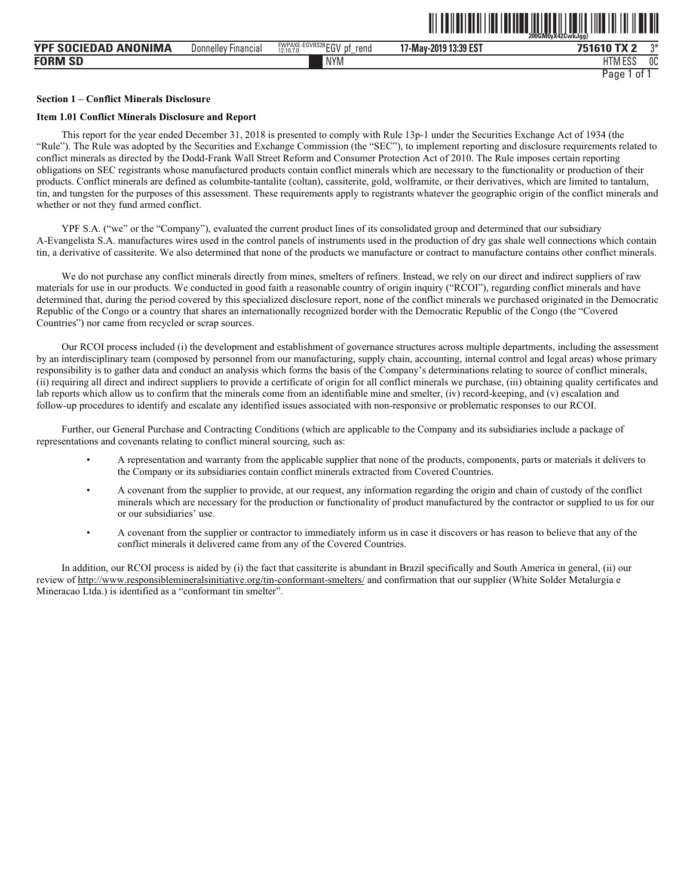|                                 |                        |                                                    | 200GM0yX42CwkJgg}     |                             |  |
|---------------------------------|------------------------|----------------------------------------------------|-----------------------|-----------------------------|--|
| <b>ANONIMA</b><br>YPF SOCIEDAD. | Donnelley<br>Financial | FWPAXE-EGVRS28 EGV<br>rend<br>рt<br>12.10.7.0<br>- | 17-May-2019 13:39 EST | ግ*<br>751610 TX 2           |  |
| <b>FORM SD</b>                  |                        | <b>NYM</b>                                         |                       | 11788000<br>0C<br>H I M ESS |  |
|                                 |                        |                                                    |                       | Page<br>0t                  |  |

ˆ200GM0yX42CwkJgg}Š **200GM0yX42CwkJgg}**

#### **Section 1 – Conflict Minerals Disclosure**

#### **Item 1.01 Conflict Minerals Disclosure and Report**

This report for the year ended December 31, 2018 is presented to comply with Rule 13p-1 under the Securities Exchange Act of 1934 (the "Rule"). The Rule was adopted by the Securities and Exchange Commission (the "SEC"), to implement reporting and disclosure requirements related to conflict minerals as directed by the Dodd-Frank Wall Street Reform and Consumer Protection Act of 2010. The Rule imposes certain reporting obligations on SEC registrants whose manufactured products contain conflict minerals which are necessary to the functionality or production of their products. Conflict minerals are defined as columbite-tantalite (coltan), cassiterite, gold, wolframite, or their derivatives, which are limited to tantalum, tin, and tungsten for the purposes of this assessment. These requirements apply to registrants whatever the geographic origin of the conflict minerals and whether or not they fund armed conflict.

YPF S.A. ("we" or the "Company"), evaluated the current product lines of its consolidated group and determined that our subsidiary A-Evangelista S.A. manufactures wires used in the control panels of instruments used in the production of dry gas shale well connections which contain tin, a derivative of cassiterite. We also determined that none of the products we manufacture or contract to manufacture contains other conflict minerals.

We do not purchase any conflict minerals directly from mines, smelters of refiners. Instead, we rely on our direct and indirect suppliers of raw materials for use in our products. We conducted in good faith a reasonable country of origin inquiry ("RCOI"), regarding conflict minerals and have determined that, during the period covered by this specialized disclosure report, none of the conflict minerals we purchased originated in the Democratic Republic of the Congo or a country that shares an internationally recognized border with the Democratic Republic of the Congo (the "Covered Countries") nor came from recycled or scrap sources.

Our RCOI process included (i) the development and establishment of governance structures across multiple departments, including the assessment by an interdisciplinary team (composed by personnel from our manufacturing, supply chain, accounting, internal control and legal areas) whose primary responsibility is to gather data and conduct an analysis which forms the basis of the Company's determinations relating to source of conflict minerals, (ii) requiring all direct and indirect suppliers to provide a certificate of origin for all conflict minerals we purchase, (iii) obtaining quality certificates and lab reports which allow us to confirm that the minerals come from an identifiable mine and smelter, (iv) record-keeping, and (v) escalation and follow-up procedures to identify and escalate any identified issues associated with non-responsive or problematic responses to our RCOI.

Further, our General Purchase and Contracting Conditions (which are applicable to the Company and its subsidiaries include a package of representations and covenants relating to conflict mineral sourcing, such as:

- A representation and warranty from the applicable supplier that none of the products, components, parts or materials it delivers to the Company or its subsidiaries contain conflict minerals extracted from Covered Countries.
- A covenant from the supplier to provide, at our request, any information regarding the origin and chain of custody of the conflict minerals which are necessary for the production or functionality of product manufactured by the contractor or supplied to us for our or our subsidiaries' use.
- A covenant from the supplier or contractor to immediately inform us in case it discovers or has reason to believe that any of the conflict minerals it delivered came from any of the Covered Countries.

In addition, our RCOI process is aided by (i) the fact that cassiterite is abundant in Brazil specifically and South America in general, (ii) our review of http://www.responsiblemineralsinitiative.org/tin-conformant-smelters/ and confirmation that our supplier (White Solder Metalurgia e Mineracao Ltda.) is identified as a "conformant tin smelter".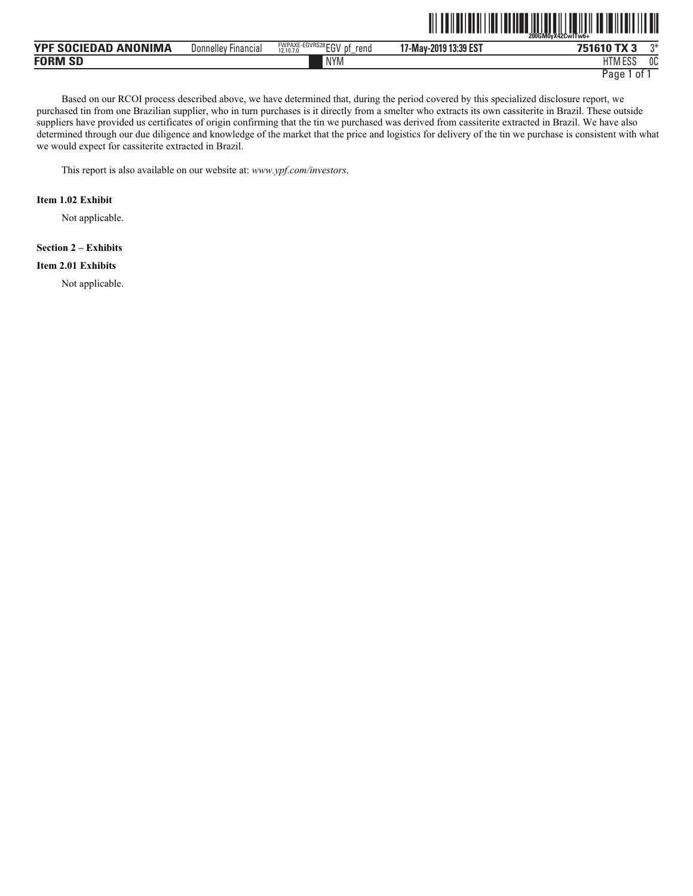|                      |                     |                               | III                   | 200GM0vX42CwITw6+ |    |
|----------------------|---------------------|-------------------------------|-----------------------|-------------------|----|
| YPF SOCIEDAD ANONIMA | Donnelley Financial | FWPAXE-EGVRS28 EGV pf<br>rena | 17-May-2019 13:39 EST | 751610 TX 3       | ∩¥ |
| <b>FORM SD</b>       |                     | <b>NYM</b>                    |                       | HTM ESS           | OC |

NYM HTM Page 1 of 1

Based on our RCOI process described above, we have determined that, during the period covered by this specialized disclosure report, we purchased tin from one Brazilian supplier, who in turn purchases is it directly from a smelter who extracts its own cassiterite in Brazil. These outside suppliers have provided us certificates of origin confirming that the tin we purchased was derived from cassiterite extracted in Brazil. We have also determined through our due diligence and knowledge of the market that the price and logistics for delivery of the tin we purchase is consistent with what we would expect for cassiterite extracted in Brazil.

This report is also available on our website at: *www.ypf.com/investors*.

#### **Item 1.02 Exhibit**

Not applicable.

#### **Section 2 – Exhibits**

#### **Item 2.01 Exhibits**

Not applicable.